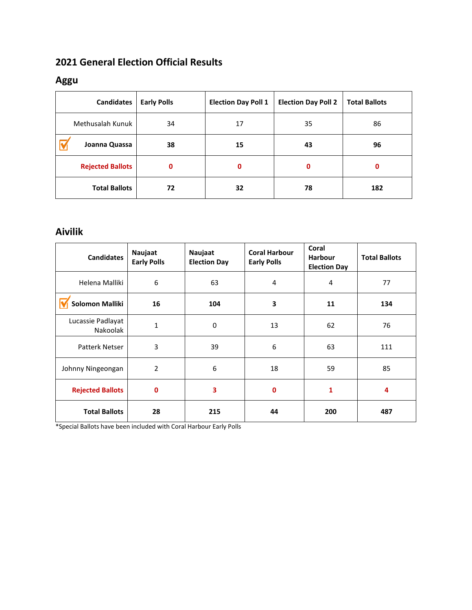### **2021 General Election Official Results**

#### **Aggu**

| <b>Candidates</b>       | <b>Early Polls</b> | <b>Election Day Poll 1</b> | <b>Election Day Poll 2</b> | <b>Total Ballots</b> |
|-------------------------|--------------------|----------------------------|----------------------------|----------------------|
| Methusalah Kunuk        | 34                 | 17                         | 35                         | 86                   |
| Joanna Quassa           | 38                 | 15                         | 43                         | 96                   |
| <b>Rejected Ballots</b> | 0                  | $\mathbf 0$                | 0                          | 0                    |
| <b>Total Ballots</b>    | 72                 | 32                         | 78                         | 182                  |

### **Aivilik**

| <b>Candidates</b>             | Naujaat<br><b>Early Polls</b> | Naujaat<br><b>Election Day</b> | <b>Coral Harbour</b><br><b>Early Polls</b> | Coral<br><b>Harbour</b><br><b>Election Day</b> | <b>Total Ballots</b> |
|-------------------------------|-------------------------------|--------------------------------|--------------------------------------------|------------------------------------------------|----------------------|
| Helena Malliki                | 6                             | 63                             | 4                                          | 4                                              | 77                   |
| <b>Solomon Malliki</b>        | 16                            | 104                            | 3                                          | 11                                             | 134                  |
| Lucassie Padlayat<br>Nakoolak | 1                             | $\mathbf 0$                    | 13                                         | 62                                             | 76                   |
| <b>Patterk Netser</b>         | 3                             | 39                             | 6                                          | 63                                             | 111                  |
| Johnny Ningeongan             | 2                             | 6                              | 18                                         | 59                                             | 85                   |
| <b>Rejected Ballots</b>       | $\mathbf 0$                   | 3                              | $\mathbf 0$                                | $\mathbf{1}$                                   | 4                    |
| <b>Total Ballots</b>          | 28                            | 215                            | 44                                         | 200                                            | 487                  |

\*Special Ballots have been included with Coral Harbour Early Polls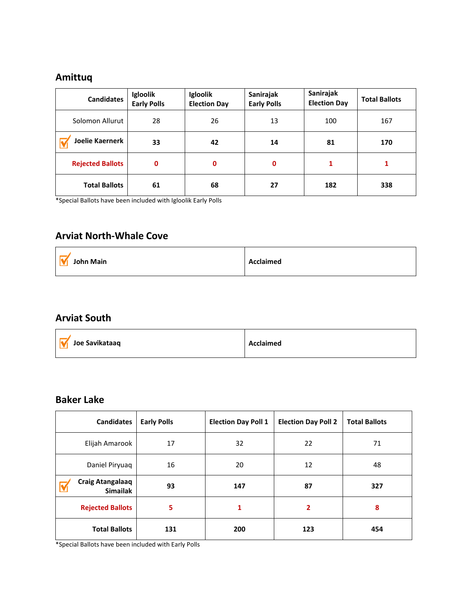### **Amittuq**

| <b>Candidates</b>       | Igloolik<br><b>Early Polls</b> | Igloolik<br><b>Election Day</b> | Sanirajak<br><b>Early Polls</b> | Sanirajak<br><b>Election Day</b> | <b>Total Ballots</b> |
|-------------------------|--------------------------------|---------------------------------|---------------------------------|----------------------------------|----------------------|
| Solomon Allurut         | 28                             | 26                              | 13                              | 100                              | 167                  |
| <b>Joelie Kaernerk</b>  | 33                             | 42                              | 14                              | 81                               | 170                  |
| <b>Rejected Ballots</b> | 0                              | 0                               | 0                               |                                  |                      |
| <b>Total Ballots</b>    | 61                             | 68                              | 27                              | 182                              | 338                  |

\*Special Ballots have been included with Igloolik Early Polls

### **Arviat North-Whale Cove**

| John Main | Acclaimed |
|-----------|-----------|
|-----------|-----------|

#### **Arviat South**

| Joe Savikataaq | Acclaimed |
|----------------|-----------|
|                |           |

#### **Baker Lake**

| <b>Candidates</b>                          | <b>Early Polls</b> | <b>Election Day Poll 1</b> | <b>Election Day Poll 2</b> | <b>Total Ballots</b> |
|--------------------------------------------|--------------------|----------------------------|----------------------------|----------------------|
| Elijah Amarook                             | 17                 | 32                         | 22                         | 71                   |
| Daniel Piryuaq                             | 16                 | 20                         | 12                         | 48                   |
| <b>Craig Atangalaaq</b><br><b>Simailak</b> | 93                 | 147                        | 87                         | 327                  |
| <b>Rejected Ballots</b>                    | 5                  | 1                          | 2                          | 8                    |
| <b>Total Ballots</b>                       | 131                | 200                        | 123                        | 454                  |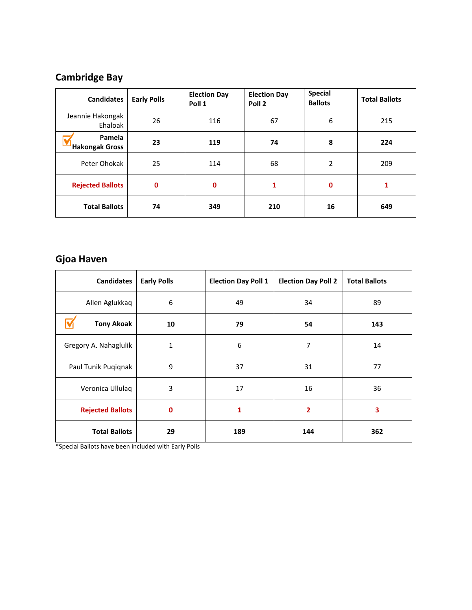## **Cambridge Bay**

| <b>Candidates</b>               | <b>Early Polls</b> | <b>Election Day</b><br>Poll 1 | <b>Election Day</b><br>Poll <sub>2</sub> | <b>Special</b><br><b>Ballots</b> | <b>Total Ballots</b> |
|---------------------------------|--------------------|-------------------------------|------------------------------------------|----------------------------------|----------------------|
| Jeannie Hakongak<br>Ehaloak     | 26                 | 116                           | 67                                       | 6                                | 215                  |
| Pamela<br><b>Hakongak Gross</b> | 23                 | 119                           | 74                                       | 8                                | 224                  |
| Peter Ohokak                    | 25                 | 114                           | 68                                       | 2                                | 209                  |
| <b>Rejected Ballots</b>         | 0                  | 0                             | 1                                        | 0                                |                      |
| <b>Total Ballots</b>            | 74                 | 349                           | 210                                      | 16                               | 649                  |

### **Gjoa Haven**

| <b>Candidates</b>       | <b>Early Polls</b> | <b>Election Day Poll 1</b> | <b>Election Day Poll 2</b> | <b>Total Ballots</b> |
|-------------------------|--------------------|----------------------------|----------------------------|----------------------|
| Allen Aglukkaq          | 6                  | 49                         | 34                         | 89                   |
| <b>Tony Akoak</b>       | 10                 | 79                         | 54                         | 143                  |
| Gregory A. Nahaglulik   | 1                  | 6                          | 7                          | 14                   |
| Paul Tunik Puqiqnak     | 9                  | 37                         | 31                         | 77                   |
| Veronica Ullulaq        | 3                  | 17                         | 16                         | 36                   |
| <b>Rejected Ballots</b> | $\mathbf 0$        | 1                          | $\overline{2}$             | 3                    |
| <b>Total Ballots</b>    | 29                 | 189                        | 144                        | 362                  |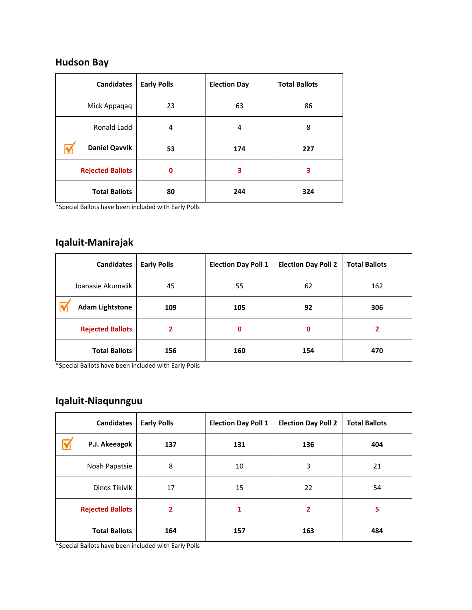#### **Hudson Bay**

| <b>Candidates</b>       | <b>Early Polls</b> | <b>Election Day</b> | <b>Total Ballots</b> |
|-------------------------|--------------------|---------------------|----------------------|
| Mick Appaqaq            | 23                 | 63                  | 86                   |
| Ronald Ladd             | 4                  | 4                   | 8                    |
| <b>Daniel Qavvik</b>    | 53                 | 174                 | 227                  |
| <b>Rejected Ballots</b> | 0                  | 3                   | 3                    |
| <b>Total Ballots</b>    | 80                 | 244                 | 324                  |

\*Special Ballots have been included with Early Polls

### **Iqaluit-Manirajak**

| <b>Candidates</b>       | <b>Early Polls</b> | <b>Election Day Poll 1</b> | <b>Election Day Poll 2</b> | <b>Total Ballots</b> |
|-------------------------|--------------------|----------------------------|----------------------------|----------------------|
| Joanasie Akumalik       | 45                 | 55                         | 62                         | 162                  |
| <b>Adam Lightstone</b>  | 109                | 105                        | 92                         | 306                  |
| <b>Rejected Ballots</b> | 2                  | $\mathbf 0$                | 0                          | 2                    |
| <b>Total Ballots</b>    | 156                | 160                        | 154                        | 470                  |

\*Special Ballots have been included with Early Polls

### **Iqaluit-Niaqunnguu**

| <b>Candidates</b>       | <b>Early Polls</b> | <b>Election Day Poll 1</b> | <b>Election Day Poll 2</b> | <b>Total Ballots</b> |
|-------------------------|--------------------|----------------------------|----------------------------|----------------------|
| P.J. Akeeagok           | 137                | 131                        | 136                        | 404                  |
| Noah Papatsie           | 8                  | 10                         | 3                          | 21                   |
| Dinos Tikivik           | 17                 | 15                         | 22                         | 54                   |
| <b>Rejected Ballots</b> | $\overline{2}$     | 1                          | $\overline{2}$             | 5                    |
| <b>Total Ballots</b>    | 164                | 157                        | 163                        | 484                  |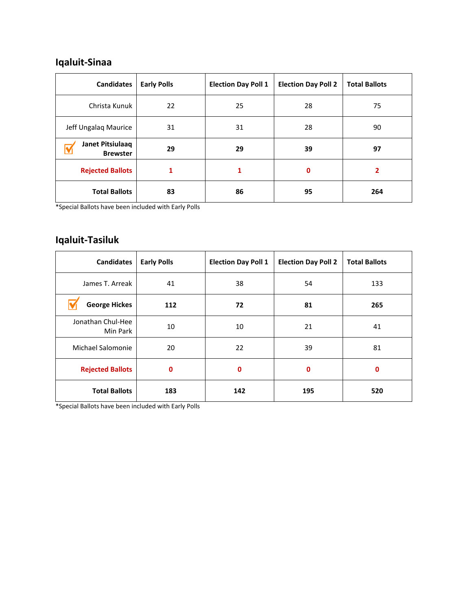### **Iqaluit-Sinaa**

| <b>Candidates</b>                   | <b>Early Polls</b> | <b>Election Day Poll 1</b> | <b>Election Day Poll 2</b> | <b>Total Ballots</b> |
|-------------------------------------|--------------------|----------------------------|----------------------------|----------------------|
| Christa Kunuk                       | 22                 | 25                         | 28                         | 75                   |
| Jeff Ungalaq Maurice                | 31                 | 31                         | 28                         | 90                   |
| Janet Pitsiulaaq<br><b>Brewster</b> | 29                 | 29                         | 39                         | 97                   |
| <b>Rejected Ballots</b>             | 1                  | 1                          | 0                          | 2                    |
| <b>Total Ballots</b>                | 83                 | 86                         | 95                         | 264                  |

\*Special Ballots have been included with Early Polls

### **Iqaluit-Tasiluk**

| <b>Candidates</b>             | <b>Early Polls</b> | <b>Election Day Poll 1</b><br><b>Election Day Poll 2</b> |     | <b>Total Ballots</b> |
|-------------------------------|--------------------|----------------------------------------------------------|-----|----------------------|
| James T. Arreak               | 41                 | 38<br>54                                                 |     | 133                  |
| <b>George Hickes</b>          | 112                | 72<br>81                                                 |     | 265                  |
| Jonathan Chul-Hee<br>Min Park | 10                 | 10                                                       | 21  | 41                   |
| Michael Salomonie             | 20                 | 22                                                       | 39  | 81                   |
| <b>Rejected Ballots</b>       | 0                  | 0                                                        | 0   |                      |
| <b>Total Ballots</b>          | 183                | 142                                                      | 195 | 520                  |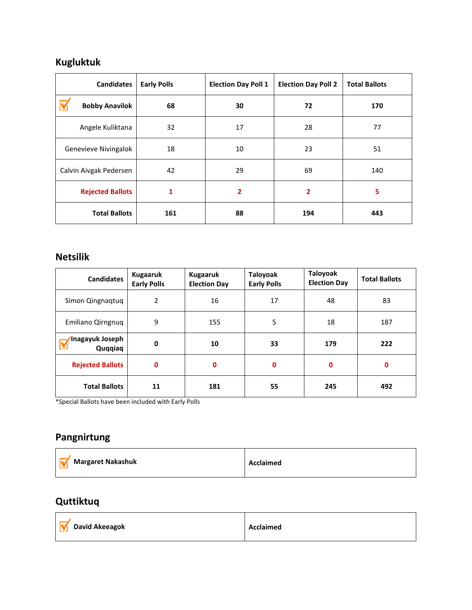### **Kugluktuk**

| <b>Candidates</b>           | <b>Early Polls</b> | <b>Election Day Poll 1</b> | <b>Election Day Poll 2</b> | <b>Total Ballots</b> |
|-----------------------------|--------------------|----------------------------|----------------------------|----------------------|
| <b>Bobby Anavilok</b>       | 68                 | 30                         | 72                         | 170                  |
| Angele Kuliktana            | 32                 | 17                         | 28                         | 77                   |
| Genevieve Nivingalok        | 18                 | 10                         | 23                         | 51                   |
| Calvin Aivgak Pedersen      | 42                 |                            | 69                         | 140                  |
| <b>Rejected Ballots</b>     | 1                  | 2<br>2                     |                            | 5                    |
| <b>Total Ballots</b><br>161 |                    | 88                         | 194                        | 443                  |

#### **Netsilik**

| <b>Candidates</b>           | <b>Kugaaruk</b><br><b>Early Polls</b> | <b>Kugaaruk</b><br><b>Election Day</b> | Taloyoak<br><b>Early Polls</b> | Taloyoak<br><b>Election Day</b> | <b>Total Ballots</b> |
|-----------------------------|---------------------------------------|----------------------------------------|--------------------------------|---------------------------------|----------------------|
| Simon Qingnaqtuq            | 2                                     | 16                                     | 17                             | 48                              | 83                   |
| Emiliano Qirngnug           | 9                                     | 155                                    | 5                              | 18                              | 187                  |
| 'Inagayuk Joseph<br>Quqqiaq | 0                                     | 10                                     | 33                             | 179                             | 222                  |
| <b>Rejected Ballots</b>     | $\mathbf 0$                           | $\mathbf 0$                            | 0                              | $\mathbf 0$                     | $\mathbf 0$          |
| <b>Total Ballots</b>        | 11                                    | 181                                    | 55                             | 245                             | 492                  |

\*Special Ballots have been included with Early Polls

### **Pangnirtung**

| <b>Margaret Nakashuk</b> | Acclaimed |
|--------------------------|-----------|
|--------------------------|-----------|

### **Quttiktuq**

Ē

| <b>V</b> David Akeeagok | <b>Acclaimed</b> |
|-------------------------|------------------|
|                         |                  |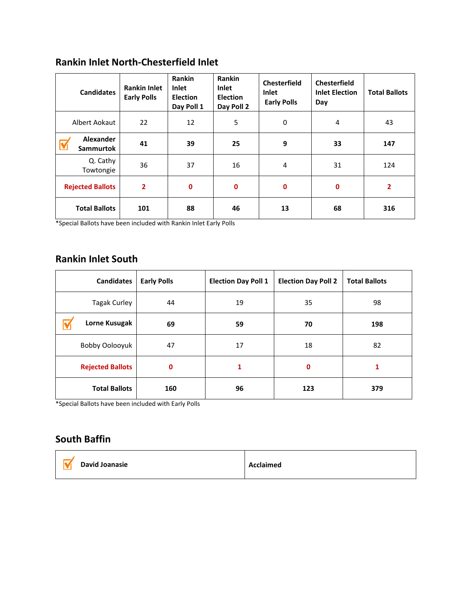### **Rankin Inlet North-Chesterfield Inlet**

| <b>Candidates</b>                    | <b>Rankin Inlet</b><br><b>Early Polls</b> | Rankin<br>Inlet<br><b>Election</b><br>Day Poll 1 | <b>Rankin</b><br><b>Inlet</b><br><b>Election</b><br>Day Poll 2 | <b>Chesterfield</b><br>Inlet<br><b>Early Polls</b> | <b>Chesterfield</b><br><b>Inlet Election</b><br>Day | <b>Total Ballots</b> |
|--------------------------------------|-------------------------------------------|--------------------------------------------------|----------------------------------------------------------------|----------------------------------------------------|-----------------------------------------------------|----------------------|
| Albert Aokaut                        | 22                                        | 12                                               | 5                                                              | $\mathbf 0$                                        | 4                                                   | 43                   |
| <b>Alexander</b><br><b>Sammurtok</b> | 41                                        | 39                                               | 25                                                             | 9                                                  | 33                                                  | 147                  |
| Q. Cathy<br>Towtongie                | 36                                        | 37                                               | 16                                                             | 4                                                  | 31                                                  | 124                  |
| <b>Rejected Ballots</b>              | $\overline{2}$                            | 0                                                | $\mathbf 0$                                                    | $\mathbf 0$                                        | $\mathbf 0$                                         | 2                    |
| <b>Total Ballots</b>                 | 101                                       | 88                                               | 46                                                             | 13                                                 | 68                                                  | 316                  |

\*Special Ballots have been included with Rankin Inlet Early Polls

### **Rankin Inlet South**

| <b>Candidates</b>       | <b>Early Polls</b> | <b>Election Day Poll 1</b> | <b>Election Day Poll 2</b> | <b>Total Ballots</b> |
|-------------------------|--------------------|----------------------------|----------------------------|----------------------|
| <b>Tagak Curley</b>     | 44                 | 19                         | 35                         | 98                   |
| Lorne Kusugak           | 69                 | 59                         | 70                         | 198                  |
| Bobby Oolooyuk          | 47                 | 17                         | 18                         | 82                   |
| <b>Rejected Ballots</b> | 0                  | 1                          | 0                          |                      |
| <b>Total Ballots</b>    | 160                | 96                         | 123                        | 379                  |

\*Special Ballots have been included with Early Polls

### **South Baffin**

| Acclaimed |
|-----------|
|           |